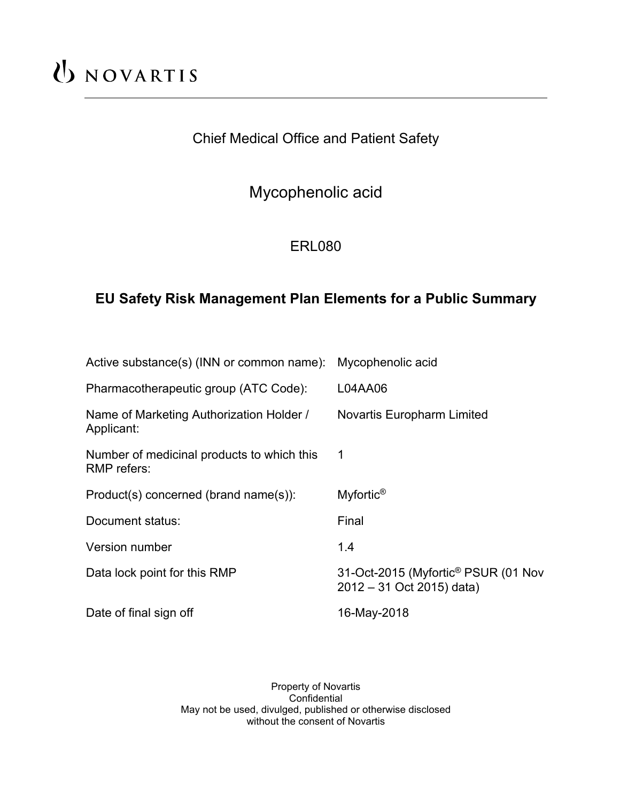# UNOVARTIS

# Chief Medical Office and Patient Safety

# Mycophenolic acid

# ERL080

## **EU Safety Risk Management Plan Elements for a Public Summary**

| Active substance(s) (INN or common name):                 | Mycophenolic acid                                                            |
|-----------------------------------------------------------|------------------------------------------------------------------------------|
| Pharmacotherapeutic group (ATC Code):                     | L04AA06                                                                      |
| Name of Marketing Authorization Holder /<br>Applicant:    | <b>Novartis Europharm Limited</b>                                            |
| Number of medicinal products to which this<br>RMP refers: | 1                                                                            |
| Product(s) concerned (brand name(s)):                     | Myfortic <sup>®</sup>                                                        |
| Document status:                                          | Final                                                                        |
| Version number                                            | 1.4                                                                          |
| Data lock point for this RMP                              | 31-Oct-2015 (Myfortic <sup>®</sup> PSUR (01 Nov<br>2012 - 31 Oct 2015) data) |
| Date of final sign off                                    | 16-May-2018                                                                  |

Property of Novartis Confidential May not be used, divulged, published or otherwise disclosed without the consent of Novartis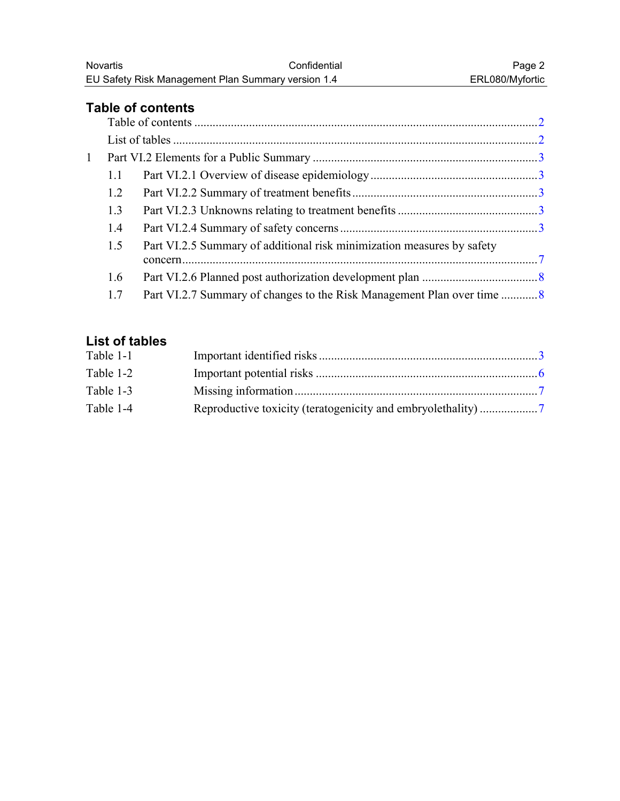## <span id="page-1-0"></span>**Table of contents**

| $\mathbf{1}$ |     |                                                                        |  |
|--------------|-----|------------------------------------------------------------------------|--|
|              | 1.1 |                                                                        |  |
|              | 1.2 |                                                                        |  |
|              | 1.3 |                                                                        |  |
|              | 1.4 |                                                                        |  |
|              | 1.5 | Part VI.2.5 Summary of additional risk minimization measures by safety |  |
|              |     |                                                                        |  |
|              | 1.6 |                                                                        |  |
|              | 1.7 |                                                                        |  |
|              |     |                                                                        |  |

## **List of tables**

| Table 1-1 |  |
|-----------|--|
| Table 1-2 |  |
| Table 1-3 |  |
| Table 1-4 |  |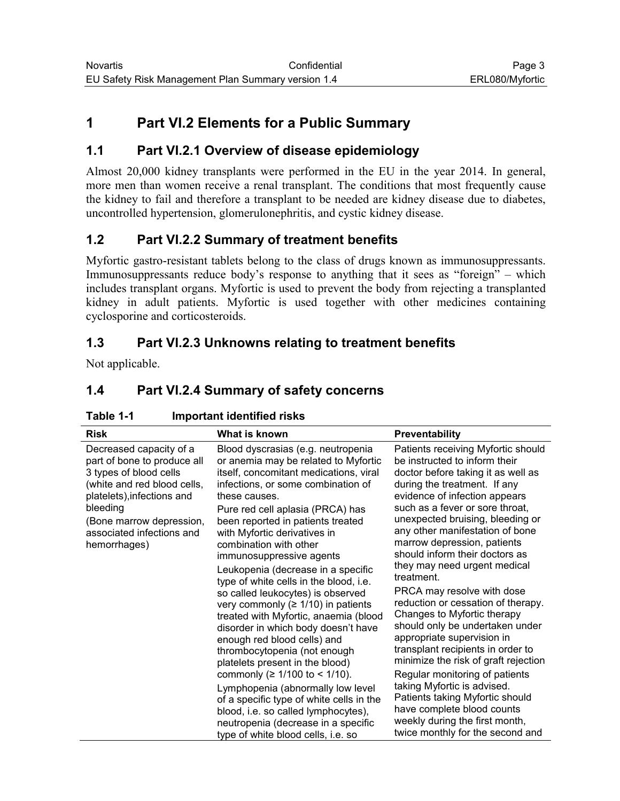## <span id="page-2-0"></span>**1 Part VI.2 Elements for a Public Summary**

#### **1.1 Part VI.2.1 Overview of disease epidemiology**

Almost 20,000 kidney transplants were performed in the EU in the year 2014. In general, more men than women receive a renal transplant. The conditions that most frequently cause the kidney to fail and therefore a transplant to be needed are kidney disease due to diabetes, uncontrolled hypertension, glomerulonephritis, and cystic kidney disease.

#### **1.2 Part VI.2.2 Summary of treatment benefits**

Myfortic gastro-resistant tablets belong to the class of drugs known as immunosuppressants. Immunosuppressants reduce body's response to anything that it sees as "foreign" – which includes transplant organs. Myfortic is used to prevent the body from rejecting a transplanted kidney in adult patients. Myfortic is used together with other medicines containing cyclosporine and corticosteroids.

## **1.3 Part VI.2.3 Unknowns relating to treatment benefits**

Not applicable.

## **1.4 Part VI.2.4 Summary of safety concerns**

| <b>Risk</b>                                                                                                                                                                                                                        | What is known                                                                                                                                                                                                                                                                                                                                                                                                                                                                                                                                                                                                                                                                                                                                                                                                                                                                                                                              | <b>Preventability</b>                                                                                                                                                                                                                                                                                                                                                                                                                                                                                                                                                                                                                                                                                                                                                                                                                                        |
|------------------------------------------------------------------------------------------------------------------------------------------------------------------------------------------------------------------------------------|--------------------------------------------------------------------------------------------------------------------------------------------------------------------------------------------------------------------------------------------------------------------------------------------------------------------------------------------------------------------------------------------------------------------------------------------------------------------------------------------------------------------------------------------------------------------------------------------------------------------------------------------------------------------------------------------------------------------------------------------------------------------------------------------------------------------------------------------------------------------------------------------------------------------------------------------|--------------------------------------------------------------------------------------------------------------------------------------------------------------------------------------------------------------------------------------------------------------------------------------------------------------------------------------------------------------------------------------------------------------------------------------------------------------------------------------------------------------------------------------------------------------------------------------------------------------------------------------------------------------------------------------------------------------------------------------------------------------------------------------------------------------------------------------------------------------|
| Decreased capacity of a<br>part of bone to produce all<br>3 types of blood cells<br>(white and red blood cells,<br>platelets), infections and<br>bleeding<br>(Bone marrow depression,<br>associated infections and<br>hemorrhages) | Blood dyscrasias (e.g. neutropenia<br>or anemia may be related to Myfortic<br>itself, concomitant medications, viral<br>infections, or some combination of<br>these causes.<br>Pure red cell aplasia (PRCA) has<br>been reported in patients treated<br>with Myfortic derivatives in<br>combination with other<br>immunosuppressive agents<br>Leukopenia (decrease in a specific<br>type of white cells in the blood, i.e.<br>so called leukocytes) is observed<br>very commonly ( $\geq 1/10$ ) in patients<br>treated with Myfortic, anaemia (blood<br>disorder in which body doesn't have<br>enough red blood cells) and<br>thrombocytopenia (not enough<br>platelets present in the blood)<br>commonly ( $\geq 1/100$ to < 1/10).<br>Lymphopenia (abnormally low level<br>of a specific type of white cells in the<br>blood, i.e. so called lymphocytes),<br>neutropenia (decrease in a specific<br>type of white blood cells, i.e. so | Patients receiving Myfortic should<br>be instructed to inform their<br>doctor before taking it as well as<br>during the treatment. If any<br>evidence of infection appears<br>such as a fever or sore throat,<br>unexpected bruising, bleeding or<br>any other manifestation of bone<br>marrow depression, patients<br>should inform their doctors as<br>they may need urgent medical<br>treatment.<br>PRCA may resolve with dose<br>reduction or cessation of therapy.<br>Changes to Myfortic therapy<br>should only be undertaken under<br>appropriate supervision in<br>transplant recipients in order to<br>minimize the risk of graft rejection<br>Regular monitoring of patients<br>taking Myfortic is advised.<br>Patients taking Myfortic should<br>have complete blood counts<br>weekly during the first month,<br>twice monthly for the second and |

#### **Table 1-1 Important identified risks**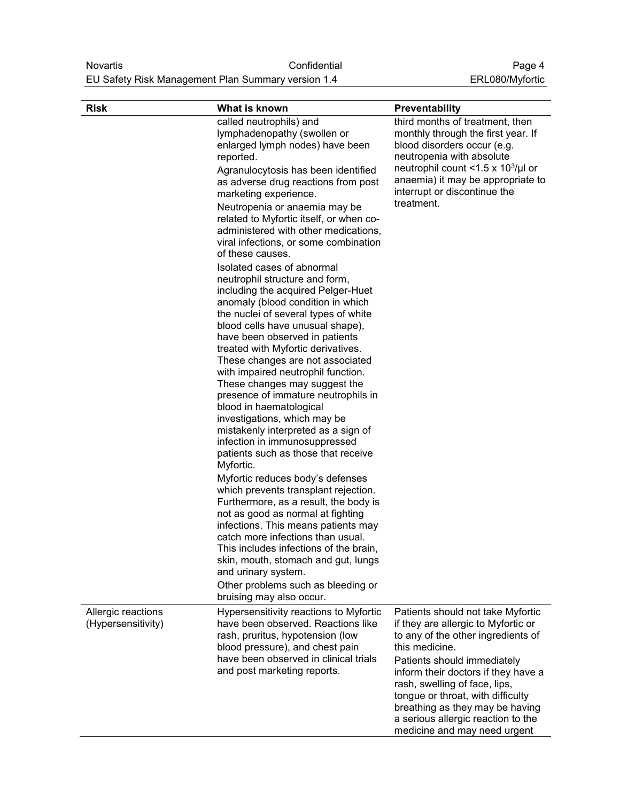| <b>Risk</b>                              | What is known                                                                                                                                                                                                                                                                                                                                                                                                                                                                                                                                                                                                                        | Preventability                                                                                                                                                                                                                                                                                                                                                                        |
|------------------------------------------|--------------------------------------------------------------------------------------------------------------------------------------------------------------------------------------------------------------------------------------------------------------------------------------------------------------------------------------------------------------------------------------------------------------------------------------------------------------------------------------------------------------------------------------------------------------------------------------------------------------------------------------|---------------------------------------------------------------------------------------------------------------------------------------------------------------------------------------------------------------------------------------------------------------------------------------------------------------------------------------------------------------------------------------|
|                                          | called neutrophils) and<br>lymphadenopathy (swollen or<br>enlarged lymph nodes) have been<br>reported.<br>Agranulocytosis has been identified<br>as adverse drug reactions from post<br>marketing experience.<br>Neutropenia or anaemia may be<br>related to Myfortic itself, or when co-                                                                                                                                                                                                                                                                                                                                            | third months of treatment, then<br>monthly through the first year. If<br>blood disorders occur (e.g.<br>neutropenia with absolute<br>neutrophil count <1.5 x $10^3$ /µl or<br>anaemia) it may be appropriate to<br>interrupt or discontinue the<br>treatment.                                                                                                                         |
|                                          | administered with other medications,<br>viral infections, or some combination<br>of these causes.                                                                                                                                                                                                                                                                                                                                                                                                                                                                                                                                    |                                                                                                                                                                                                                                                                                                                                                                                       |
|                                          | Isolated cases of abnormal<br>neutrophil structure and form,<br>including the acquired Pelger-Huet<br>anomaly (blood condition in which<br>the nuclei of several types of white<br>blood cells have unusual shape),<br>have been observed in patients<br>treated with Myfortic derivatives.<br>These changes are not associated<br>with impaired neutrophil function.<br>These changes may suggest the<br>presence of immature neutrophils in<br>blood in haematological<br>investigations, which may be<br>mistakenly interpreted as a sign of<br>infection in immunosuppressed<br>patients such as those that receive<br>Myfortic. |                                                                                                                                                                                                                                                                                                                                                                                       |
|                                          | Myfortic reduces body's defenses<br>which prevents transplant rejection.<br>Furthermore, as a result, the body is<br>not as good as normal at fighting<br>infections. This means patients may<br>catch more infections than usual.<br>This includes infections of the brain,<br>skin, mouth, stomach and gut, lungs<br>and urinary system.<br>Other problems such as bleeding or<br>bruising may also occur.                                                                                                                                                                                                                         |                                                                                                                                                                                                                                                                                                                                                                                       |
| Allergic reactions<br>(Hypersensitivity) | Hypersensitivity reactions to Myfortic<br>have been observed. Reactions like<br>rash, pruritus, hypotension (low<br>blood pressure), and chest pain<br>have been observed in clinical trials<br>and post marketing reports.                                                                                                                                                                                                                                                                                                                                                                                                          | Patients should not take Myfortic<br>if they are allergic to Myfortic or<br>to any of the other ingredients of<br>this medicine.<br>Patients should immediately<br>inform their doctors if they have a<br>rash, swelling of face, lips,<br>tongue or throat, with difficulty<br>breathing as they may be having<br>a serious allergic reaction to the<br>medicine and may need urgent |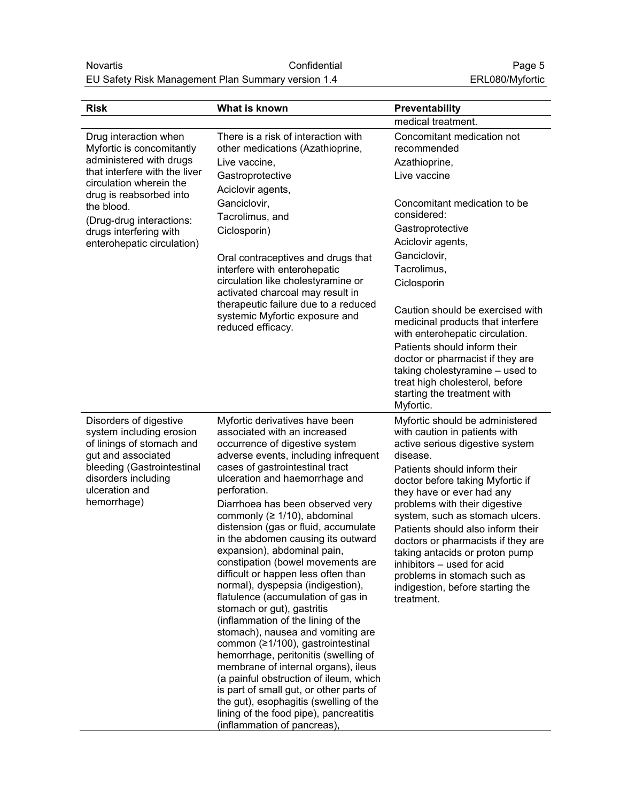| <b>Risk</b>                                                                                           | What is known                                                                                                                            | Preventability                                                                                                                                                                    |
|-------------------------------------------------------------------------------------------------------|------------------------------------------------------------------------------------------------------------------------------------------|-----------------------------------------------------------------------------------------------------------------------------------------------------------------------------------|
|                                                                                                       |                                                                                                                                          | medical treatment.                                                                                                                                                                |
| Drug interaction when<br>Myfortic is concomitantly                                                    | There is a risk of interaction with<br>other medications (Azathioprine,                                                                  | Concomitant medication not<br>recommended                                                                                                                                         |
| administered with drugs                                                                               | Live vaccine,                                                                                                                            | Azathioprine,                                                                                                                                                                     |
| that interfere with the liver<br>circulation wherein the                                              | Gastroprotective                                                                                                                         | Live vaccine                                                                                                                                                                      |
| drug is reabsorbed into                                                                               | Aciclovir agents,                                                                                                                        |                                                                                                                                                                                   |
| the blood.                                                                                            | Ganciclovir,                                                                                                                             | Concomitant medication to be                                                                                                                                                      |
| (Drug-drug interactions:                                                                              | Tacrolimus, and                                                                                                                          | considered:                                                                                                                                                                       |
| drugs interfering with                                                                                | Ciclosporin)                                                                                                                             | Gastroprotective<br>Aciclovir agents,                                                                                                                                             |
| enterohepatic circulation)                                                                            |                                                                                                                                          | Ganciclovir,                                                                                                                                                                      |
|                                                                                                       | Oral contraceptives and drugs that<br>interfere with enterohepatic                                                                       | Tacrolimus,                                                                                                                                                                       |
|                                                                                                       | circulation like cholestyramine or                                                                                                       | Ciclosporin                                                                                                                                                                       |
|                                                                                                       | activated charcoal may result in                                                                                                         |                                                                                                                                                                                   |
|                                                                                                       | therapeutic failure due to a reduced<br>systemic Myfortic exposure and<br>reduced efficacy.                                              | Caution should be exercised with<br>medicinal products that interfere<br>with enterohepatic circulation.                                                                          |
|                                                                                                       |                                                                                                                                          | Patients should inform their<br>doctor or pharmacist if they are<br>taking cholestyramine - used to<br>treat high cholesterol, before<br>starting the treatment with<br>Myfortic. |
| Disorders of digestive<br>system including erosion<br>of linings of stomach and<br>gut and associated | Myfortic derivatives have been<br>associated with an increased<br>occurrence of digestive system<br>adverse events, including infrequent | Myfortic should be administered<br>with caution in patients with<br>active serious digestive system<br>disease.                                                                   |
| bleeding (Gastrointestinal<br>disorders including                                                     | cases of gastrointestinal tract<br>ulceration and haemorrhage and                                                                        | Patients should inform their<br>doctor before taking Myfortic if                                                                                                                  |
| ulceration and                                                                                        | perforation.                                                                                                                             | they have or ever had any                                                                                                                                                         |
| hemorrhage)                                                                                           | Diarrhoea has been observed very                                                                                                         | problems with their digestive                                                                                                                                                     |
|                                                                                                       | commonly ( $\geq 1/10$ ), abdominal<br>distension (gas or fluid, accumulate                                                              | system, such as stomach ulcers.<br>Patients should also inform their                                                                                                              |
|                                                                                                       | in the abdomen causing its outward                                                                                                       | doctors or pharmacists if they are                                                                                                                                                |
|                                                                                                       | expansion), abdominal pain,                                                                                                              | taking antacids or proton pump                                                                                                                                                    |
|                                                                                                       | constipation (bowel movements are<br>difficult or happen less often than                                                                 | inhibitors - used for acid                                                                                                                                                        |
|                                                                                                       | normal), dyspepsia (indigestion),                                                                                                        | problems in stomach such as<br>indigestion, before starting the                                                                                                                   |
|                                                                                                       | flatulence (accumulation of gas in                                                                                                       | treatment.                                                                                                                                                                        |
|                                                                                                       | stomach or gut), gastritis                                                                                                               |                                                                                                                                                                                   |
|                                                                                                       | (inflammation of the lining of the<br>stomach), nausea and vomiting are                                                                  |                                                                                                                                                                                   |
|                                                                                                       | common (≥1/100), gastrointestinal                                                                                                        |                                                                                                                                                                                   |
|                                                                                                       | hemorrhage, peritonitis (swelling of                                                                                                     |                                                                                                                                                                                   |
|                                                                                                       | membrane of internal organs), ileus<br>(a painful obstruction of ileum, which                                                            |                                                                                                                                                                                   |
|                                                                                                       | is part of small gut, or other parts of                                                                                                  |                                                                                                                                                                                   |
|                                                                                                       | the gut), esophagitis (swelling of the                                                                                                   |                                                                                                                                                                                   |
|                                                                                                       | lining of the food pipe), pancreatitis                                                                                                   |                                                                                                                                                                                   |
|                                                                                                       | (inflammation of pancreas),                                                                                                              |                                                                                                                                                                                   |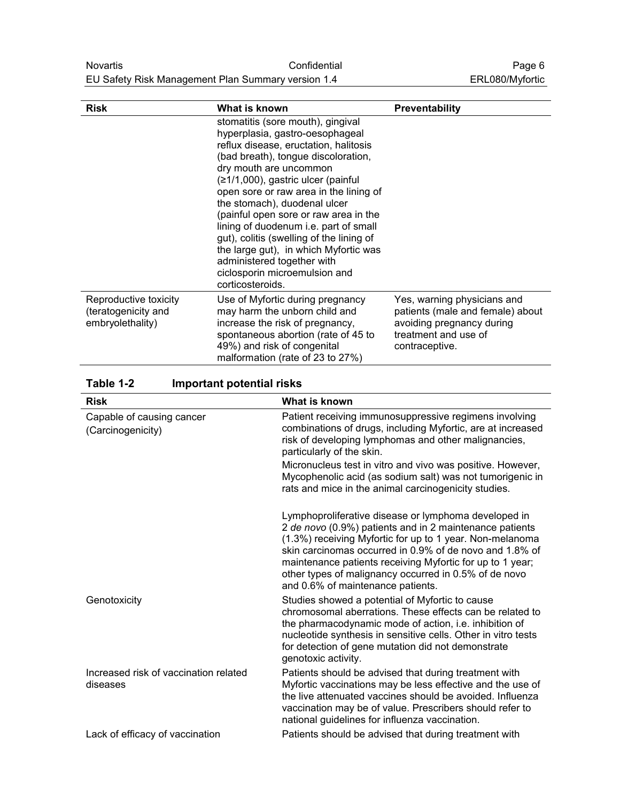<span id="page-5-0"></span>

| <b>Risk</b>                                                      | What is known                                                                                                                                                                                                                                                                                                                                                                                                                                                                                                                                            | <b>Preventability</b>                                                                                                                  |
|------------------------------------------------------------------|----------------------------------------------------------------------------------------------------------------------------------------------------------------------------------------------------------------------------------------------------------------------------------------------------------------------------------------------------------------------------------------------------------------------------------------------------------------------------------------------------------------------------------------------------------|----------------------------------------------------------------------------------------------------------------------------------------|
|                                                                  | stomatitis (sore mouth), gingival<br>hyperplasia, gastro-oesophageal<br>reflux disease, eructation, halitosis<br>(bad breath), tongue discoloration,<br>dry mouth are uncommon<br>(≥1/1,000), gastric ulcer (painful<br>open sore or raw area in the lining of<br>the stomach), duodenal ulcer<br>(painful open sore or raw area in the<br>lining of duodenum i.e. part of small<br>gut), colitis (swelling of the lining of<br>the large gut), in which Myfortic was<br>administered together with<br>ciclosporin microemulsion and<br>corticosteroids. |                                                                                                                                        |
| Reproductive toxicity<br>(teratogenicity and<br>embryolethality) | Use of Myfortic during pregnancy<br>may harm the unborn child and<br>increase the risk of pregnancy,<br>spontaneous abortion (rate of 45 to<br>49%) and risk of congenital<br>malformation (rate of 23 to 27%)                                                                                                                                                                                                                                                                                                                                           | Yes, warning physicians and<br>patients (male and female) about<br>avoiding pregnancy during<br>treatment and use of<br>contraceptive. |

**Table 1-2 Important potential risks**

|                                                   | What is known                                                                                                                                                                                                                                                                                                                                                                                     |
|---------------------------------------------------|---------------------------------------------------------------------------------------------------------------------------------------------------------------------------------------------------------------------------------------------------------------------------------------------------------------------------------------------------------------------------------------------------|
| <b>Risk</b>                                       |                                                                                                                                                                                                                                                                                                                                                                                                   |
| Capable of causing cancer<br>(Carcinogenicity)    | Patient receiving immunosuppressive regimens involving<br>combinations of drugs, including Myfortic, are at increased<br>risk of developing lymphomas and other malignancies,<br>particularly of the skin.                                                                                                                                                                                        |
|                                                   | Micronucleus test in vitro and vivo was positive. However,<br>Mycophenolic acid (as sodium salt) was not tumorigenic in<br>rats and mice in the animal carcinogenicity studies.                                                                                                                                                                                                                   |
|                                                   | Lymphoproliferative disease or lymphoma developed in<br>2 de novo (0.9%) patients and in 2 maintenance patients<br>(1.3%) receiving Myfortic for up to 1 year. Non-melanoma<br>skin carcinomas occurred in 0.9% of de novo and 1.8% of<br>maintenance patients receiving Myfortic for up to 1 year;<br>other types of malignancy occurred in 0.5% of de novo<br>and 0.6% of maintenance patients. |
| Genotoxicity                                      | Studies showed a potential of Myfortic to cause<br>chromosomal aberrations. These effects can be related to<br>the pharmacodynamic mode of action, i.e. inhibition of<br>nucleotide synthesis in sensitive cells. Other in vitro tests<br>for detection of gene mutation did not demonstrate<br>genotoxic activity.                                                                               |
| Increased risk of vaccination related<br>diseases | Patients should be advised that during treatment with<br>Myfortic vaccinations may be less effective and the use of<br>the live attenuated vaccines should be avoided. Influenza<br>vaccination may be of value. Prescribers should refer to<br>national guidelines for influenza vaccination.                                                                                                    |
| Lack of efficacy of vaccination                   | Patients should be advised that during treatment with                                                                                                                                                                                                                                                                                                                                             |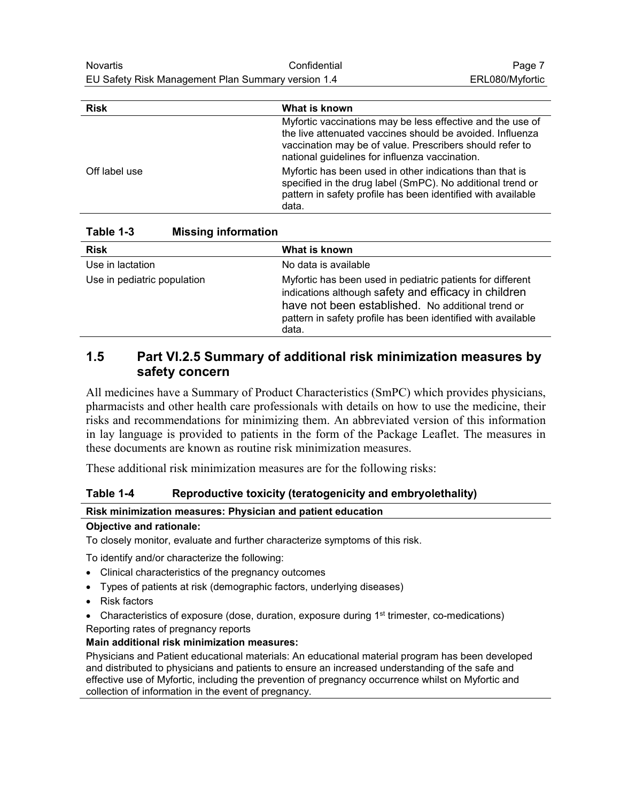<span id="page-6-0"></span>

| <b>Risk</b>   | What is known                                                                                                                                                                                                                         |
|---------------|---------------------------------------------------------------------------------------------------------------------------------------------------------------------------------------------------------------------------------------|
|               | Myfortic vaccinations may be less effective and the use of<br>the live attenuated vaccines should be avoided. Influenza<br>vaccination may be of value. Prescribers should refer to<br>national guidelines for influenza vaccination. |
| Off label use | Myfortic has been used in other indications than that is<br>specified in the drug label (SmPC). No additional trend or<br>pattern in safety profile has been identified with available<br>data.                                       |

**Table 1-3 Missing information**

| <b>Risk</b>                 | What is known                                                                                                                                                                                                                                    |
|-----------------------------|--------------------------------------------------------------------------------------------------------------------------------------------------------------------------------------------------------------------------------------------------|
| Use in lactation            | No data is available                                                                                                                                                                                                                             |
| Use in pediatric population | Myfortic has been used in pediatric patients for different<br>indications although safety and efficacy in children<br>have not been established. No additional trend or<br>pattern in safety profile has been identified with available<br>data. |

#### **1.5 Part VI.2.5 Summary of additional risk minimization measures by safety concern**

All medicines have a Summary of Product Characteristics (SmPC) which provides physicians, pharmacists and other health care professionals with details on how to use the medicine, their risks and recommendations for minimizing them. An abbreviated version of this information in lay language is provided to patients in the form of the Package Leaflet. The measures in these documents are known as routine risk minimization measures.

These additional risk minimization measures are for the following risks:

#### **Table 1-4 Reproductive toxicity (teratogenicity and embryolethality)**

#### **Risk minimization measures: Physician and patient education**

#### **Objective and rationale:**

To closely monitor, evaluate and further characterize symptoms of this risk.

To identify and/or characterize the following:

- Clinical characteristics of the pregnancy outcomes
- Types of patients at risk (demographic factors, underlying diseases)
- Risk factors
- Characteristics of exposure (dose, duration, exposure during  $1<sup>st</sup>$  trimester, co-medications) Reporting rates of pregnancy reports

#### **Main additional risk minimization measures:**

Physicians and Patient educational materials: An educational material program has been developed and distributed to physicians and patients to ensure an increased understanding of the safe and effective use of Myfortic, including the prevention of pregnancy occurrence whilst on Myfortic and collection of information in the event of pregnancy.